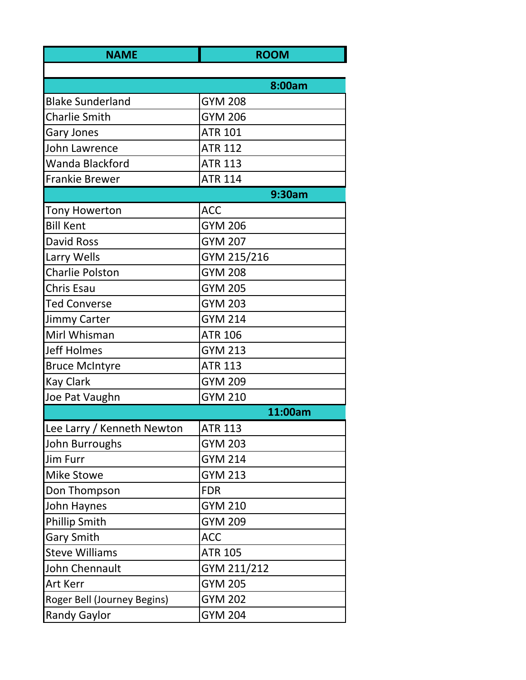| <b>NAME</b>                 | <b>ROOM</b>    |
|-----------------------------|----------------|
|                             |                |
|                             | 8:00am         |
| <b>Blake Sunderland</b>     | <b>GYM 208</b> |
| <b>Charlie Smith</b>        | <b>GYM 206</b> |
| <b>Gary Jones</b>           | <b>ATR 101</b> |
| John Lawrence               | <b>ATR 112</b> |
| Wanda Blackford             | <b>ATR 113</b> |
| <b>Frankie Brewer</b>       | <b>ATR 114</b> |
|                             | 9:30am         |
| <b>Tony Howerton</b>        | <b>ACC</b>     |
| <b>Bill Kent</b>            | <b>GYM 206</b> |
| <b>David Ross</b>           | <b>GYM 207</b> |
| Larry Wells                 | GYM 215/216    |
| <b>Charlie Polston</b>      | <b>GYM 208</b> |
| Chris Esau                  | <b>GYM 205</b> |
| <b>Ted Converse</b>         | <b>GYM 203</b> |
| <b>Jimmy Carter</b>         | <b>GYM 214</b> |
| Mirl Whisman                | <b>ATR 106</b> |
| <b>Jeff Holmes</b>          | <b>GYM 213</b> |
| <b>Bruce McIntyre</b>       | <b>ATR 113</b> |
| <b>Kay Clark</b>            | <b>GYM 209</b> |
| Joe Pat Vaughn              | <b>GYM 210</b> |
|                             | 11:00am        |
| Lee Larry / Kenneth Newton  | <b>ATR 113</b> |
| John Burroughs              | <b>GYM 203</b> |
| Jim Furr                    | <b>GYM 214</b> |
| <b>Mike Stowe</b>           | <b>GYM 213</b> |
| Don Thompson                | <b>FDR</b>     |
| John Haynes                 | <b>GYM 210</b> |
| <b>Phillip Smith</b>        | <b>GYM 209</b> |
| <b>Gary Smith</b>           | <b>ACC</b>     |
| <b>Steve Williams</b>       | <b>ATR 105</b> |
| John Chennault              | GYM 211/212    |
| <b>Art Kerr</b>             | <b>GYM 205</b> |
| Roger Bell (Journey Begins) | <b>GYM 202</b> |
| <b>Randy Gaylor</b>         | <b>GYM 204</b> |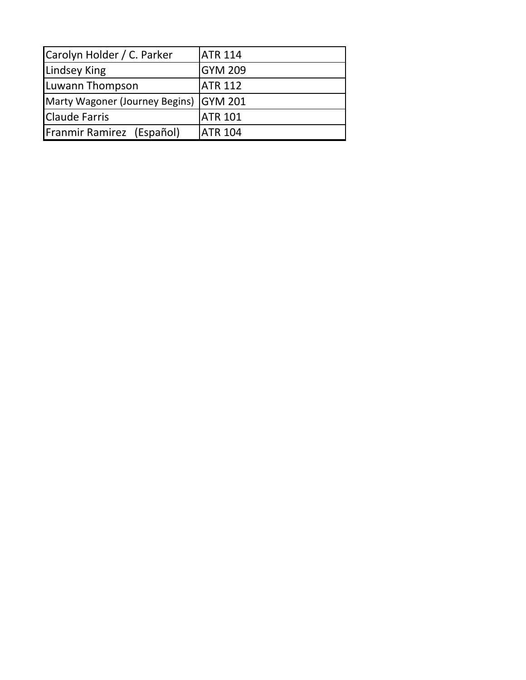| Carolyn Holder / C. Parker             | <b>JATR 114</b> |
|----------------------------------------|-----------------|
| <b>Lindsey King</b>                    | <b>GYM 209</b>  |
| Luwann Thompson                        | <b>ATR 112</b>  |
| Marty Wagoner (Journey Begins) GYM 201 |                 |
| <b>Claude Farris</b>                   | <b>ATR 101</b>  |
| Franmir Ramirez (Español)              | <b>JATR 104</b> |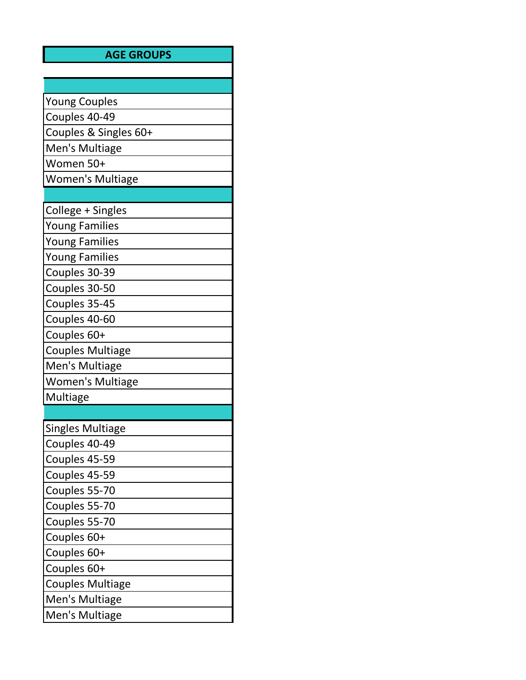## **AGE GROUPS**

| <b>Young Couples</b>    |
|-------------------------|
| Couples 40-49           |
| Couples & Singles 60+   |
| Men's Multiage          |
| Women 50+               |
| <b>Women's Multiage</b> |
|                         |
| College + Singles       |
| <b>Young Families</b>   |
| <b>Young Families</b>   |
| <b>Young Families</b>   |
| Couples 30-39           |
| Couples 30-50           |
| Couples 35-45           |
| Couples 40-60           |
| Couples 60+             |
| <b>Couples Multiage</b> |
| Men's Multiage          |
| <b>Women's Multiage</b> |
| Multiage                |
|                         |
| <b>Singles Multiage</b> |
| Couples 40-49           |
| Couples 45-59           |
| Couples 45-59           |
| Couples 55-70           |
| Couples 55-70           |
| Couples 55-70           |
| Couples 60+             |
| Couples 60+             |
| Couples 60+             |
| <b>Couples Multiage</b> |
| Men's Multiage          |
| Men's Multiage          |